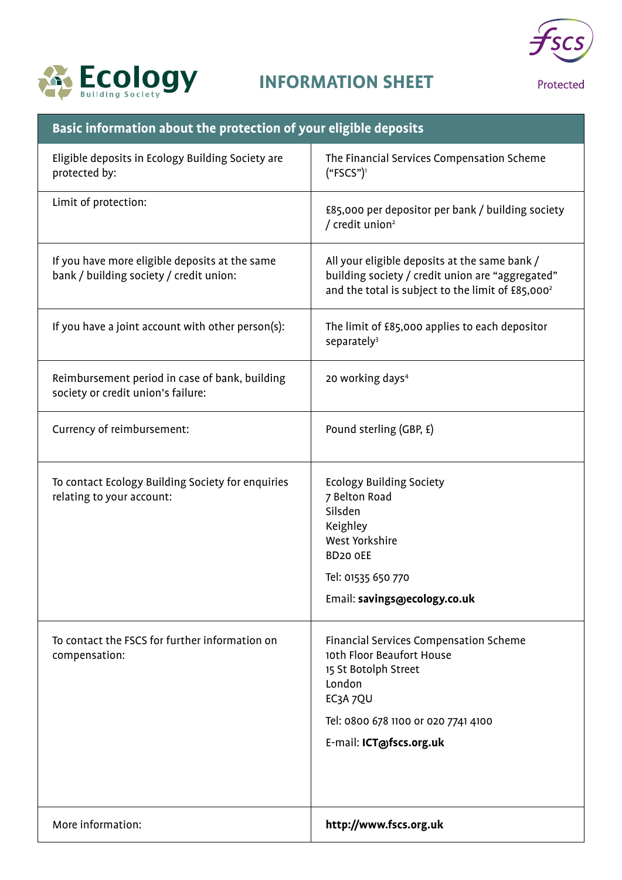



Protected

| Basic information about the protection of your eligible deposits                          |                                                                                                                                                                    |
|-------------------------------------------------------------------------------------------|--------------------------------------------------------------------------------------------------------------------------------------------------------------------|
| Eligible deposits in Ecology Building Society are<br>protected by:                        | The Financial Services Compensation Scheme<br>("FSCS")                                                                                                             |
| Limit of protection:                                                                      | £85,000 per depositor per bank / building society<br>/ credit union <sup>2</sup>                                                                                   |
| If you have more eligible deposits at the same<br>bank / building society / credit union: | All your eligible deposits at the same bank /<br>building society / credit union are "aggregated"<br>and the total is subject to the limit of £85,000 <sup>2</sup> |
| If you have a joint account with other person(s):                                         | The limit of £85,000 applies to each depositor<br>separately <sup>3</sup>                                                                                          |
| Reimbursement period in case of bank, building<br>society or credit union's failure:      | 20 working days <sup>4</sup>                                                                                                                                       |
| Currency of reimbursement:                                                                | Pound sterling (GBP, £)                                                                                                                                            |
| To contact Ecology Building Society for enquiries<br>relating to your account:            | <b>Ecology Building Society</b><br>7 Belton Road<br>Silsden<br>Keighley<br>West Yorkshire<br>BD <sub>20</sub> oEE                                                  |
|                                                                                           | Tel: 01535 650 770                                                                                                                                                 |
|                                                                                           | Email: savings@ecology.co.uk                                                                                                                                       |
| To contact the FSCS for further information on<br>compensation:                           | Financial Services Compensation Scheme<br>10th Floor Beaufort House<br>15 St Botolph Street<br>London<br>EC3A 7QU                                                  |
|                                                                                           | Tel: 0800 678 1100 or 020 7741 4100                                                                                                                                |
|                                                                                           | E-mail: ICT@fscs.org.uk                                                                                                                                            |
|                                                                                           |                                                                                                                                                                    |
| More information:                                                                         | http://www.fscs.org.uk                                                                                                                                             |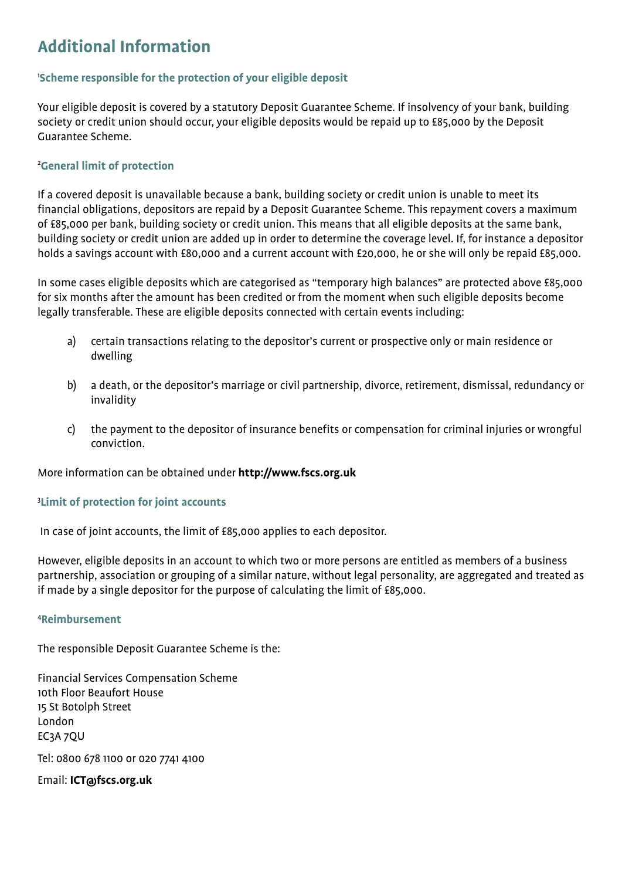# **Additional Information**

### 1 **Scheme responsible for the protection of your eligible deposit**

Your eligible deposit is covered by a statutory Deposit Guarantee Scheme. If insolvency of your bank, building society or credit union should occur, your eligible deposits would be repaid up to £85,000 by the Deposit Guarantee Scheme.

### 2 **General limit of protection**

If a covered deposit is unavailable because a bank, building society or credit union is unable to meet its financial obligations, depositors are repaid by a Deposit Guarantee Scheme. This repayment covers a maximum of £85,000 per bank, building society or credit union. This means that all eligible deposits at the same bank, building society or credit union are added up in order to determine the coverage level. If, for instance a depositor holds a savings account with £80,000 and a current account with £20,000, he or she will only be repaid £85,000.

In some cases eligible deposits which are categorised as "temporary high balances" are protected above £85,000 for six months after the amount has been credited or from the moment when such eligible deposits become legally transferable. These are eligible deposits connected with certain events including:

- a) certain transactions relating to the depositor's current or prospective only or main residence or dwelling
- b) a death, or the depositor's marriage or civil partnership, divorce, retirement, dismissal, redundancy or invalidity
- c) the payment to the depositor of insurance benefits or compensation for criminal injuries or wrongful conviction.

More information can be obtained under **http://www.fscs.org.uk**

#### 3 **Limit of protection for joint accounts**

In case of joint accounts, the limit of £85,000 applies to each depositor.

However, eligible deposits in an account to which two or more persons are entitled as members of a business partnership, association or grouping of a similar nature, without legal personality, are aggregated and treated as if made by a single depositor for the purpose of calculating the limit of £85,000.

#### 4 **Reimbursement**

The responsible Deposit Guarantee Scheme is the:

Financial Services Compensation Scheme 10th Floor Beaufort House 15 St Botolph Street London EC3A 7QU

Tel: 0800 678 1100 or 020 7741 4100

Email: **ICT@fscs.org.uk**